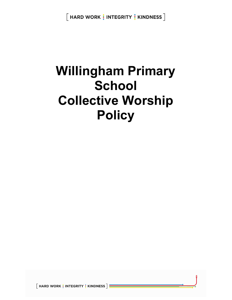$[$  HARD WORK  $\frac{1}{2}$  INTEGRITY  $\frac{1}{2}$  KINDNESS  $]$ 

# Willingham Primary **School** Collective Worship **Policy**

 $\left\lceil$  HARD WORK  $\frac{1}{2}$  INTEGRITY  $\frac{1}{2}$  KINDNESS  $\left\lceil \frac{1}{2} \right\rceil$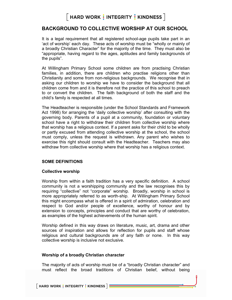#### BACKGROUND TO COLLECTIVE WORSHIP AT OUR SCHOOL

It is a legal requirement that all registered school-age pupils take part in an 'act of worship' each day. These acts of worship must be "wholly or mainly of a broadly Christian Character" for the majority of the time. They must also be "appropriate, having regard to the ages, aptitudes and family backgrounds of the pupils".

At Willingham Primary School some children are from practising Christian families, in addition, there are children who practise religions other than Christianity and some from non-religious backgrounds. We recognise that in asking our children to worship we have to consider the background that all children come from and it is therefore not the practice of this school to preach to or convert the children. The faith background of both the staff and the child's family is respected at all times.

The Headteacher is responsible (under the School Standards and Framework Act 1998) for arranging the 'daily collective worship' after consulting with the governing body. Parents of a pupil at a community, foundation or voluntary school have a right to withdraw their children from collective worship where that worship has a religious context. If a parent asks for their child to be wholly or partly excused from attending collective worship at the school, the school must comply, unless the request is withdrawn. Any parent who wishes to exercise this right should consult with the Headteacher. Teachers may also withdraw from collective worship where that worship has a religious context.

#### SOME DEFINITIONS

#### Collective worship

Worship from within a faith tradition has a very specific definition. A school community is not a worshipping community and the law recognises this by requiring "collective" not "corporate" worship. Broadly, worship in school is more appropriately referred to as worth-ship. At Willingham Primary School this might encompass what is offered in a spirit of admiration, celebration and respect to God and/or people of excellence, worthy of honour and by extension to concepts, principles and conduct that are worthy of celebration, as examples of the highest achievements of the human spirit.

Worship defined in this way draws on literature, music, art, drama and other sources of inspiration and allows for reflection for pupils and staff whose religious and cultural backgrounds are of any faith or none. In this way collective worship is inclusive not exclusive.

#### Worship of a broadly Christian character

The majority of acts of worship must be of a "broadly Christian character" and must reflect the broad traditions of Christian belief, without being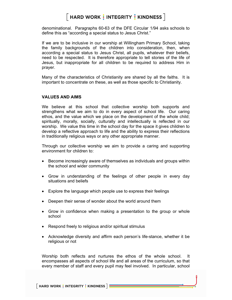denominational. Paragraphs 60-63 of the DFE Circular 1/94 asks schools to define this as "according a special status to Jesus Christ."

If we are to be inclusive in our worship at Willingham Primary School, taking the family backgrounds of the children into consideration, then, when according a special status to Jesus Christ, all pupils, whatever their beliefs, need to be respected. It is therefore appropriate to tell stories of the life of Jesus, but inappropriate for all children to be required to address Him in prayer.

Many of the characteristics of Christianity are shared by all the faiths. It is important to concentrate on these, as well as those specific to Christianity.

#### VALUES AND AIMS

We believe at this school that collective worship both supports and strengthens what we aim to do in every aspect of school life. Our caring ethos, and the value which we place on the development of the whole child; spiritually, morally, socially, culturally and intellectually is reflected in our worship. We value this time in the school day for the space it gives children to develop a reflective approach to life and the ability to express their reflections in traditionally religious ways or any other appropriate manner.

Through our collective worship we aim to provide a caring and supporting environment for children to:

- Become increasingly aware of themselves as individuals and groups within the school and wider community
- Grow in understanding of the feelings of other people in every day situations and beliefs
- Explore the language which people use to express their feelings
- Deepen their sense of wonder about the world around them
- Grow in confidence when making a presentation to the group or whole school
- Respond freely to religious and/or spiritual stimulus
- Acknowledge diversity and affirm each person's life-stance, whether it be religious or not

Worship both reflects and nurtures the ethos of the whole school. It encompasses all aspects of school life and all areas of the curriculum, so that every member of staff and every pupil may feel involved. In particular, school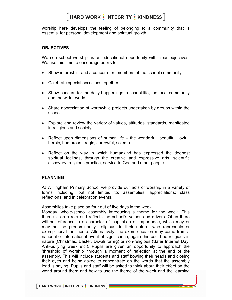worship here develops the feeling of belonging to a community that is essential for personal development and spiritual growth.

#### **OBJECTIVES**

We see school worship as an educational opportunity with clear objectives. We use this time to encourage pupils to:

- Show interest in, and a concern for, members of the school community
- Celebrate special occasions together
- Show concern for the daily happenings in school life, the local community and the wider world
- Share appreciation of worthwhile projects undertaken by groups within the school
- Explore and review the variety of values, attitudes, standards, manifested in religions and society
- **•** Reflect upon dimensions of human life  $-$  the wonderful, beautiful, joyful, heroic, humorous, tragic, sorrowful, solemn….;
- Reflect on the way in which humankind has expressed the deepest spiritual feelings, through the creative and expressive arts, scientific discovery, religious practice, service to God and other people.

#### PLANNING

At Willingham Primary School we provide our acts of worship in a variety of forms including, but not limited to; assemblies, appreciations; class reflections; and in celebration events.

Assemblies take place on four out of five days in the week.

Monday, whole-school assembly introducing a theme for the week. This theme is on a rota and reflects the school's values and drivers. Often there will be reference to a character of inspiration or importance, which may or may not be predominantly 'religious' in their nature, who represents or exemplifies/d the theme. Alternatively, the exemplification may come from a national or international event of significance, again this could be religious in nature (Christmas, Easter, Diwali for eg) or non-religious (Safer Internet Day, Anti-bullying week etc.). Pupils are given an opportunity to approach the 'threshold of worship' through a moment of reflection at the end of the assembly. This will include students and staff bowing their heads and closing their eyes and being asked to concentrate on the words that the assembly lead is saying. Pupils and staff will be asked to think about their effect on the world around them and how to use the theme of the week and the learning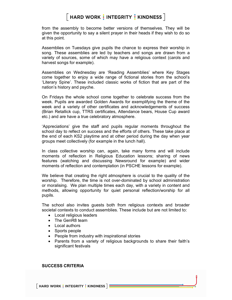from the assembly to become better versions of themselves. They will be given the opportunity to say a silent prayer in their heads if they wish to do so at this point.

Assemblies on Tuesdays give pupils the chance to express their worship in song. These assemblies are led by teachers and songs are drawn from a variety of sources, some of which may have a religious context (carols and harvest songs for example).

Assemblies on Wednesday are 'Reading Assemblies' where Key Stages come together to enjoy a wide range of fictional stories from the school's 'Literary Spine'. These included classic works of fiction that are part of the nation's history and psyche.

On Fridays the whole school come together to celebrate success from the week. Pupils are awarded Golden Awards for exemplifying the theme of the week and a variety of other certificates and acknowledgements of success (Brian Retallick cup, TTRS certificates, Attendance bears, House Cup award etc.) and are have a true celebratory atmosphere.

'Appreciations' give the staff and pupils regular moments throughout the school day to reflect on success and the efforts of others. These take place at the end of each KS2 playtime and at other period during the day when year groups meet collectively (for example in the lunch hall).

In class collective worship can, again, take many forms and will include moments of reflection in Religious Education lessons; sharing of news features (watching and discussing Newsround for example) and wider moments of reflection and contemplation (in PSCHE lessons for example).

We believe that creating the right atmosphere is crucial to the quality of the worship. Therefore, the time is not over-dominated by school administration or moralising. We plan multiple times each day, with a variety in content and methods, allowing opportunity for quiet personal reflection/worship for all pupils.

The school also invites guests both from religious contexts and broader societal contexts to conduct assemblies. These include but are not limited to:

- Local religious leaders
- The GenR8 team
- Local authors
- Sports people
- People from industry with inspirational stories
- Parents from a variety of religious backgrounds to share their faith's significant festivals

SUCCESS CRITERIA